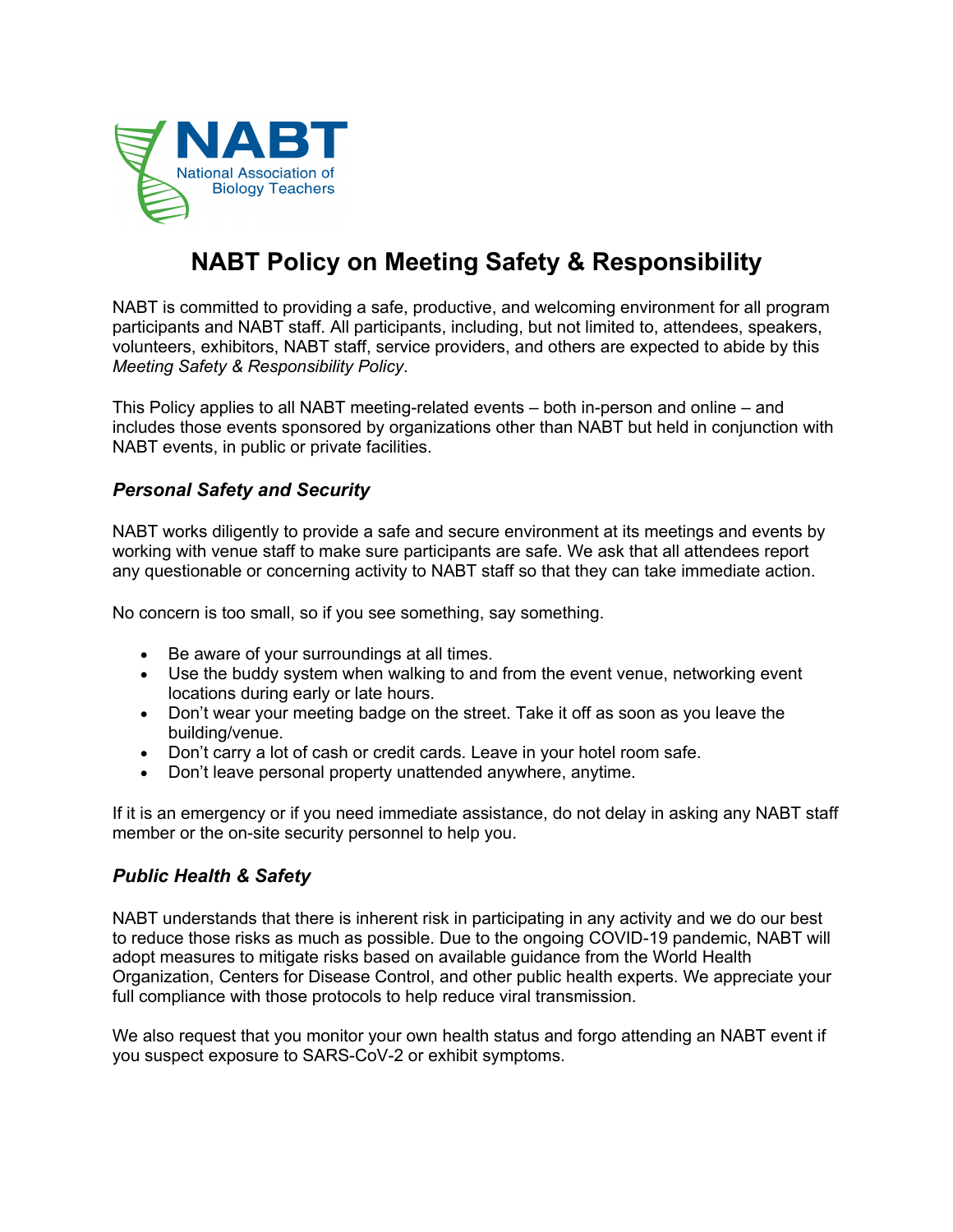

# **NABT Policy on Meeting Safety & Responsibility**

NABT is committed to providing a safe, productive, and welcoming environment for all program participants and NABT staff. All participants, including, but not limited to, attendees, speakers, volunteers, exhibitors, NABT staff, service providers, and others are expected to abide by this *Meeting Safety & Responsibility Policy*.

This Policy applies to all NABT meeting-related events – both in-person and online – and includes those events sponsored by organizations other than NABT but held in conjunction with NABT events, in public or private facilities.

## *Personal Safety and Security*

NABT works diligently to provide a safe and secure environment at its meetings and events by working with venue staff to make sure participants are safe. We ask that all attendees report any questionable or concerning activity to NABT staff so that they can take immediate action.

No concern is too small, so if you see something, say something.

- Be aware of your surroundings at all times.
- Use the buddy system when walking to and from the event venue, networking event locations during early or late hours.
- Don't wear your meeting badge on the street. Take it off as soon as you leave the building/venue.
- Don't carry a lot of cash or credit cards. Leave in your hotel room safe.
- Don't leave personal property unattended anywhere, anytime.

If it is an emergency or if you need immediate assistance, do not delay in asking any NABT staff member or the on-site security personnel to help you.

### *Public Health & Safety*

NABT understands that there is inherent risk in participating in any activity and we do our best to reduce those risks as much as possible. Due to the ongoing COVID-19 pandemic, NABT will adopt measures to mitigate risks based on available guidance from the World Health Organization, Centers for Disease Control, and other public health experts. We appreciate your full compliance with those protocols to help reduce viral transmission.

We also request that you monitor your own health status and forgo attending an NABT event if you suspect exposure to SARS-CoV-2 or exhibit symptoms.